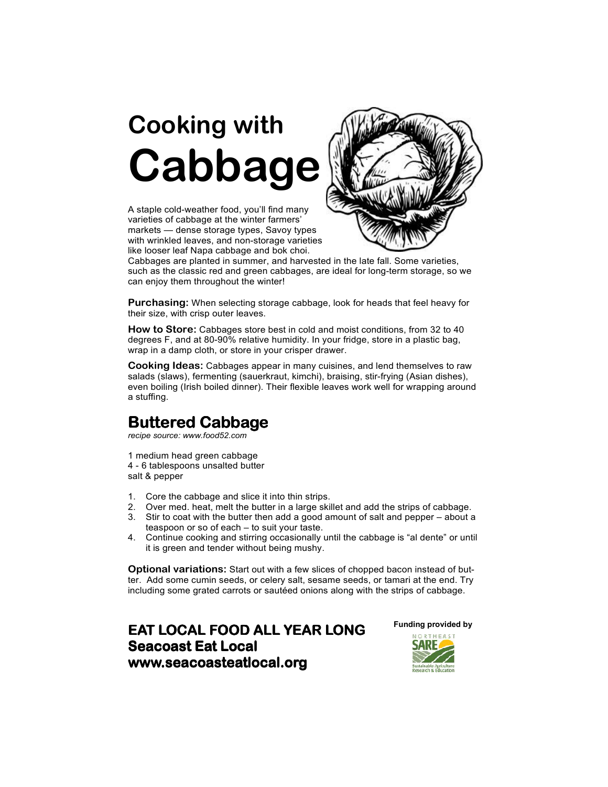# Cooking with Cabbage

A staple cold-weather food, you'll find many varieties of cabbage at the winter farmers' markets — dense storage types, Savoy types with wrinkled leaves, and non-storage varieties like looser leaf Napa cabbage and bok choi.



Cabbages are planted in summer, and harvested in the late fall. Some varieties, such as the classic red and green cabbages, are ideal for long-term storage, so we can enjoy them throughout the winter!

Purchasing: When selecting storage cabbage, look for heads that feel heavy for their size, with crisp outer leaves.

How to Store: Cabbages store best in cold and moist conditions, from 32 to 40 degrees F, and at 80-90% relative humidity. In your fridge, store in a plastic bag, wrap in a damp cloth, or store in your crisper drawer.

Cooking Ideas: Cabbages appear in many cuisines, and lend themselves to raw salads (slaws), fermenting (sauerkraut, kimchi), braising, stir-frying (Asian dishes), even boiling (Irish boiled dinner). Their flexible leaves work well for wrapping around a stuffing.

# Buttered Cabbage

recipe source: www.food52.com

1 medium head green cabbage 4 - 6 tablespoons unsalted butter

salt & pepper

- 1. Core the cabbage and slice it into thin strips.
- 2. Over med. heat, melt the butter in a large skillet and add the strips of cabbage.
- 3. Stir to coat with the butter then add a good amount of salt and pepper about a teaspoon or so of each – to suit your taste.
- 4. Continue cooking and stirring occasionally until the cabbage is "al dente" or until it is green and tender without being mushy.

Optional variations: Start out with a few slices of chopped bacon instead of butter. Add some cumin seeds, or celery salt, sesame seeds, or tamari at the end. Try including some grated carrots or sautéed onions along with the strips of cabbage.

### **EAT LOCAL FOOD ALL YEAR LONG** Seacoast Eat Local www.seacoasteatlocal.org